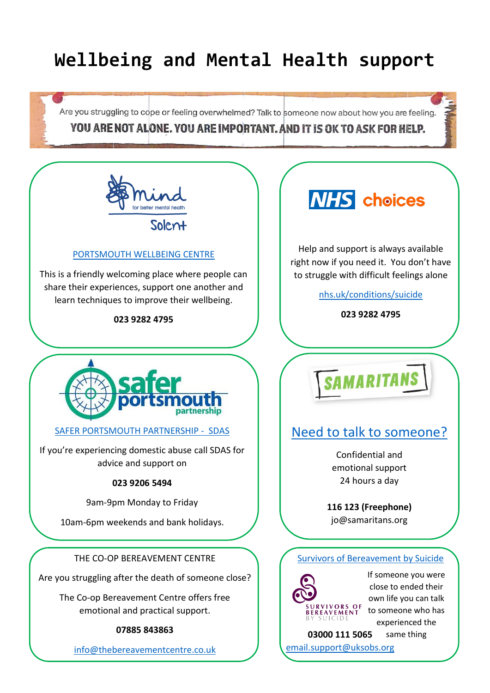# **Wellbeing and Mental Health support**

Are you struggling to cope or feeling overwhelmed? Talk to someone now about how you are feeling. YOU ARE NOT ALONE. YOU ARE IMPORTANT. AND IT IS OK TO ASK FOR HELP.

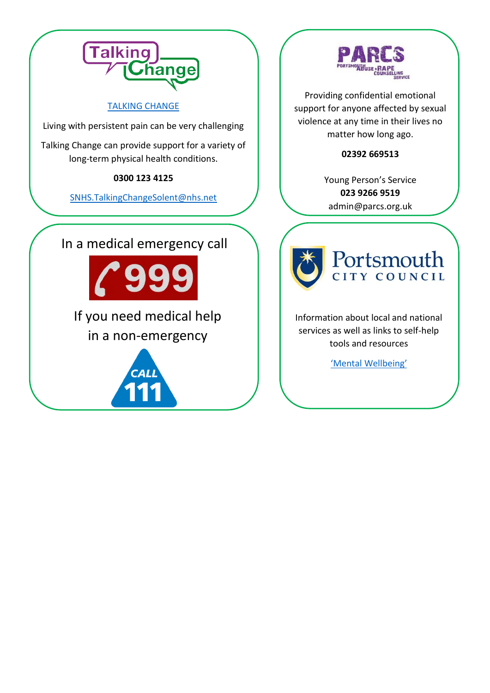

### [TALKING CHANGE](https://www.talkingchange.nhs.uk/)

Living with persistent pain can be very challenging

Talking Change can provide support for a variety of long-term physical health conditions.

#### **0300 123 4125**

[SNHS.TalkingChangeSolent@nhs.net](mailto:SNHS.TalkingChangeSolent@nhs.net)

In a medical emergency call



If you need medical help in a non-emergency





Providing confidential emotional support for anyone affected by sexual violence at any time in their lives no matter how long ago.

#### **02392 669513**

Young Person's Service **023 9266 9519** admin@parcs.org.uk



Information about local and national services as well as links to self-help tools and resources

'[Mental Wellbeing](https://www.portsmouth.gov.uk/ext/health-and-care/health/mental-wellbeing/mental-wellbeing)'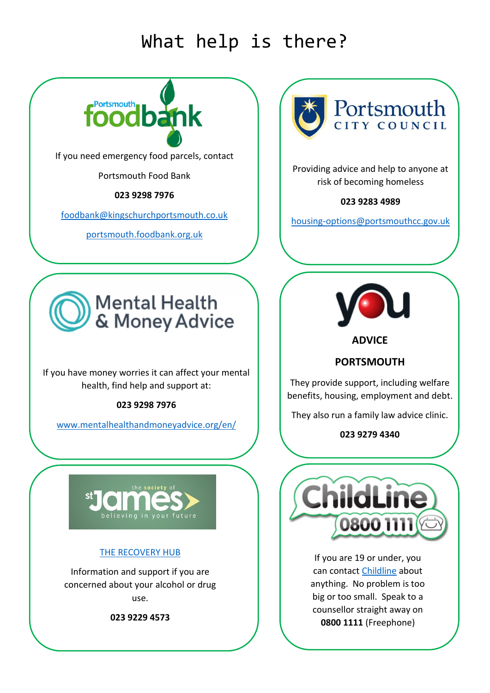## What help is there?